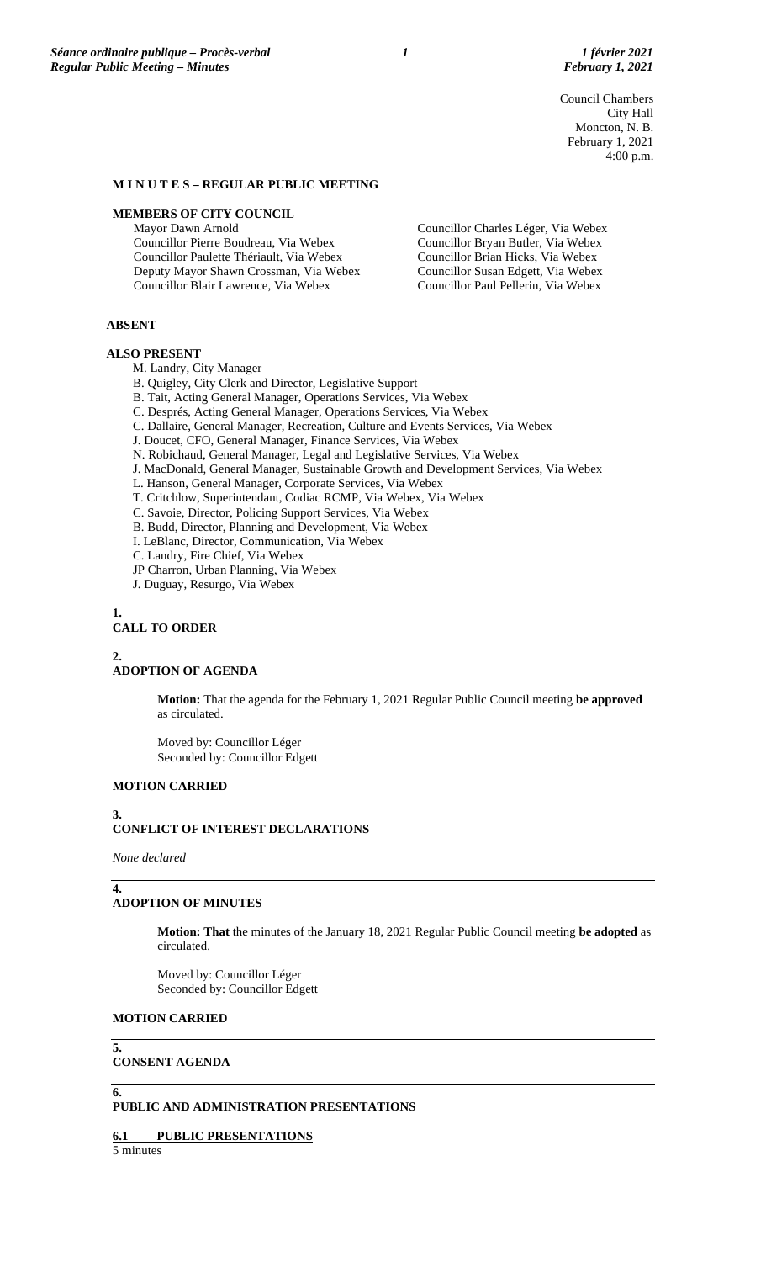Council Chambers City Hall Moncton, N. B. February 1, 2021 4:00 p.m.

### **M I N U T E S – REGULAR PUBLIC MEETING**

#### **MEMBERS OF CITY COUNCIL**

Mayor Dawn Arnold Councillor Pierre Boudreau, Via Webex Councillor Paulette Thériault, Via Webex Deputy Mayor Shawn Crossman, Via Webex Councillor Blair Lawrence, Via Webex

Councillor Charles Léger, Via Webex Councillor Bryan Butler, Via Webex Councillor Brian Hicks, Via Webex Councillor Susan Edgett, Via Webex Councillor Paul Pellerin, Via Webex

# **ABSENT**

### **ALSO PRESENT**

- M. Landry, City Manager
- B. Quigley, City Clerk and Director, Legislative Support
- B. Tait, Acting General Manager, Operations Services, Via Webex
- C. Després, Acting General Manager, Operations Services, Via Webex
- C. Dallaire, General Manager, Recreation, Culture and Events Services, Via Webex
- J. Doucet, CFO, General Manager, Finance Services, Via Webex
- N. Robichaud, General Manager, Legal and Legislative Services, Via Webex
- J. MacDonald, General Manager, Sustainable Growth and Development Services, Via Webex
- L. Hanson, General Manager, Corporate Services, Via Webex
- T. Critchlow, Superintendant, Codiac RCMP, Via Webex, Via Webex
- C. Savoie, Director, Policing Support Services, Via Webex
- B. Budd, Director, Planning and Development, Via Webex
- I. LeBlanc, Director, Communication, Via Webex
- C. Landry, Fire Chief, Via Webex
- JP Charron, Urban Planning, Via Webex
- J. Duguay, Resurgo, Via Webex
- **1.**

# **CALL TO ORDER**

#### **2.**

### **ADOPTION OF AGENDA**

**Motion:** That the agenda for the February 1, 2021 Regular Public Council meeting **be approved** as circulated.

Moved by: Councillor Léger Seconded by: Councillor Edgett

#### **MOTION CARRIED**

#### **3.**

**4.**

**5.**

**6.**

# **CONFLICT OF INTEREST DECLARATIONS**

*None declared*

### **ADOPTION OF MINUTES**

**Motion: That** the minutes of the January 18, 2021 Regular Public Council meeting **be adopted** as circulated.

Moved by: Councillor Léger Seconded by: Councillor Edgett

### **MOTION CARRIED**

### **CONSENT AGENDA**

#### **PUBLIC AND ADMINISTRATION PRESENTATIONS**

**6.1 PUBLIC PRESENTATIONS**

5 minutes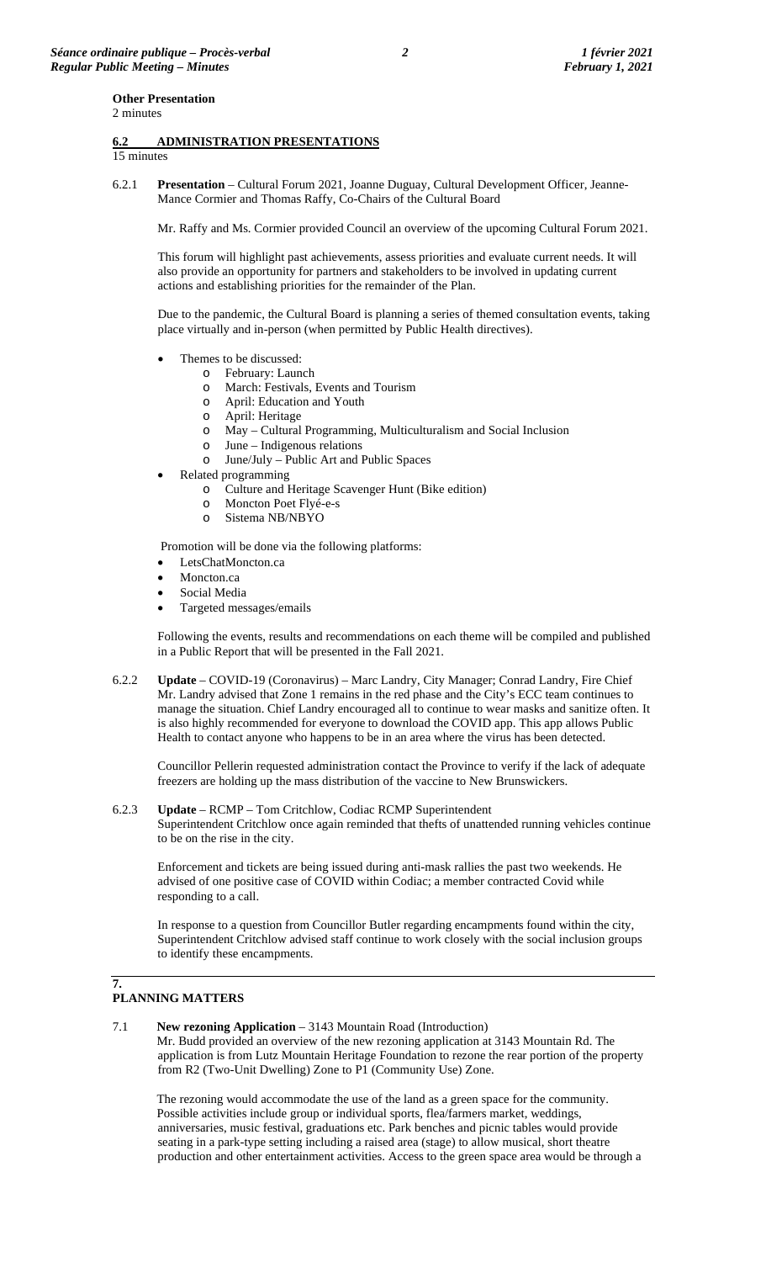#### **Other Presentation**  2 minutes

# **6.2 ADMINISTRATION PRESENTATIONS**

15 minutes

6.2.1 **Presentation** – Cultural Forum 2021, Joanne Duguay, Cultural Development Officer, Jeanne-Mance Cormier and Thomas Raffy, Co-Chairs of the Cultural Board

Mr. Raffy and Ms. Cormier provided Council an overview of the upcoming Cultural Forum 2021.

This forum will highlight past achievements, assess priorities and evaluate current needs. It will also provide an opportunity for partners and stakeholders to be involved in updating current actions and establishing priorities for the remainder of the Plan.

Due to the pandemic, the Cultural Board is planning a series of themed consultation events, taking place virtually and in-person (when permitted by Public Health directives).

- Themes to be discussed:
	- o February: Launch
		- March: Festivals, Events and Tourism
	- o April: Education and Youth
	- o April: Heritage
	- $\circ$  May Cultural Programming, Multiculturalism and Social Inclusion  $\circ$  June Indigenous relations
	- June Indigenous relations
	- o June/July Public Art and Public Spaces
- Related programming
	- o Culture and Heritage Scavenger Hunt (Bike edition)
	- o Moncton Poet Flyé-e-s
	- o Sistema NB/NBYO

Promotion will be done via the following platforms:

- LetsChatMoncton.ca
- Moncton.ca
- Social Media
- Targeted messages/emails

Following the events, results and recommendations on each theme will be compiled and published in a Public Report that will be presented in the Fall 2021.

6.2.2 **Update** – COVID-19 (Coronavirus) – Marc Landry, City Manager; Conrad Landry, Fire Chief Mr. Landry advised that Zone 1 remains in the red phase and the City's ECC team continues to manage the situation. Chief Landry encouraged all to continue to wear masks and sanitize often. It is also highly recommended for everyone to download the COVID app. This app allows Public Health to contact anyone who happens to be in an area where the virus has been detected.

Councillor Pellerin requested administration contact the Province to verify if the lack of adequate freezers are holding up the mass distribution of the vaccine to New Brunswickers.

6.2.3 **Update** – RCMP – Tom Critchlow, Codiac RCMP Superintendent Superintendent Critchlow once again reminded that thefts of unattended running vehicles continue to be on the rise in the city.

Enforcement and tickets are being issued during anti-mask rallies the past two weekends. He advised of one positive case of COVID within Codiac; a member contracted Covid while responding to a call.

In response to a question from Councillor Butler regarding encampments found within the city, Superintendent Critchlow advised staff continue to work closely with the social inclusion groups to identify these encampments.

# **PLANNING MATTERS**

**7.**

7.1 **New rezoning Application** – 3143 Mountain Road (Introduction) Mr. Budd provided an overview of the new rezoning application at 3143 Mountain Rd. The application is from Lutz Mountain Heritage Foundation to rezone the rear portion of the property from R2 (Two-Unit Dwelling) Zone to P1 (Community Use) Zone.

The rezoning would accommodate the use of the land as a green space for the community. Possible activities include group or individual sports, flea/farmers market, weddings, anniversaries, music festival, graduations etc. Park benches and picnic tables would provide seating in a park-type setting including a raised area (stage) to allow musical, short theatre production and other entertainment activities. Access to the green space area would be through a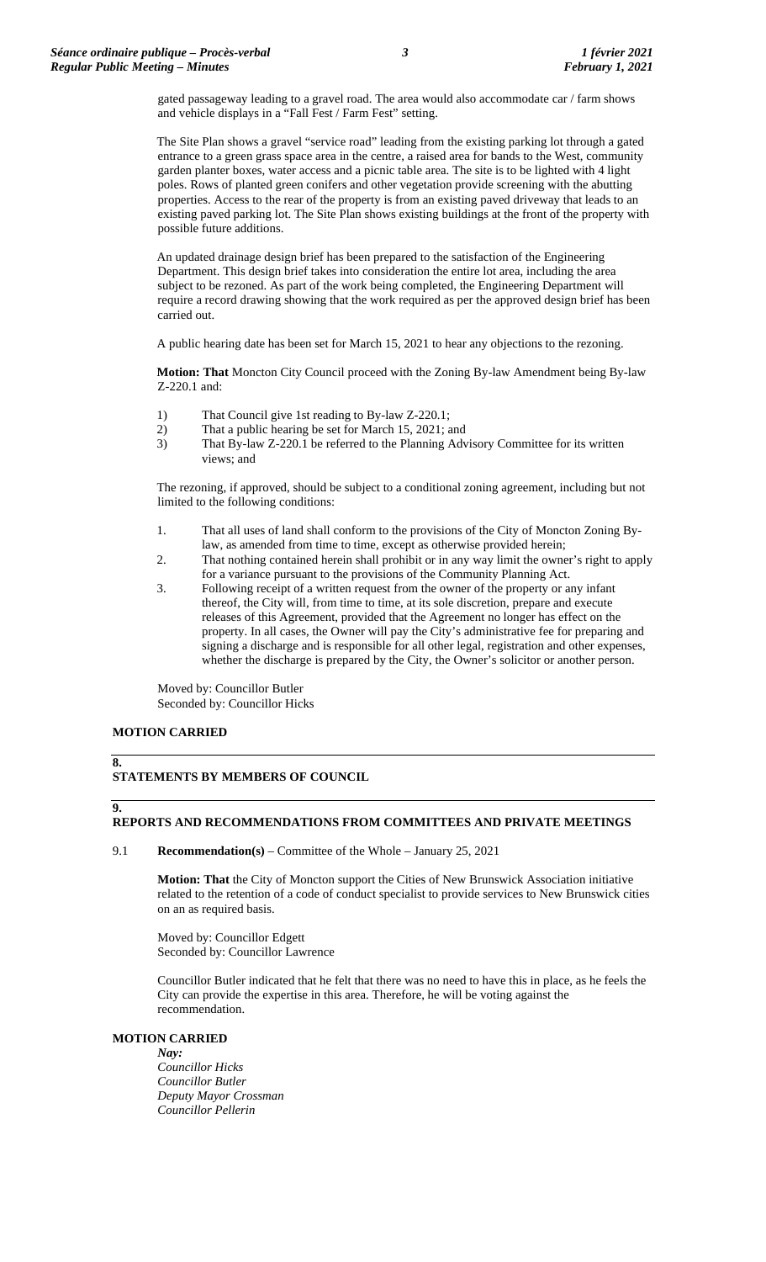gated passageway leading to a gravel road. The area would also accommodate car / farm shows and vehicle displays in a "Fall Fest / Farm Fest" setting.

The Site Plan shows a gravel "service road" leading from the existing parking lot through a gated entrance to a green grass space area in the centre, a raised area for bands to the West, community garden planter boxes, water access and a picnic table area. The site is to be lighted with 4 light poles. Rows of planted green conifers and other vegetation provide screening with the abutting properties. Access to the rear of the property is from an existing paved driveway that leads to an existing paved parking lot. The Site Plan shows existing buildings at the front of the property with possible future additions.

An updated drainage design brief has been prepared to the satisfaction of the Engineering Department. This design brief takes into consideration the entire lot area, including the area subject to be rezoned. As part of the work being completed, the Engineering Department will require a record drawing showing that the work required as per the approved design brief has been carried out.

A public hearing date has been set for March 15, 2021 to hear any objections to the rezoning.

**Motion: That** Moncton City Council proceed with the Zoning By-law Amendment being By-law Z-220.1 and:

- 1) That Council give 1st reading to By-law Z-220.1;<br>
2) That a public hearing be set for March 15, 2021; and
- That a public hearing be set for March 15, 2021; and
- 3) That By-law Z-220.1 be referred to the Planning Advisory Committee for its written views; and

The rezoning, if approved, should be subject to a conditional zoning agreement, including but not limited to the following conditions:

- 1. That all uses of land shall conform to the provisions of the City of Moncton Zoning Bylaw, as amended from time to time, except as otherwise provided herein;
- 2. That nothing contained herein shall prohibit or in any way limit the owner's right to apply for a variance pursuant to the provisions of the Community Planning Act.
- 3. Following receipt of a written request from the owner of the property or any infant thereof, the City will, from time to time, at its sole discretion, prepare and execute releases of this Agreement, provided that the Agreement no longer has effect on the property. In all cases, the Owner will pay the City's administrative fee for preparing and signing a discharge and is responsible for all other legal, registration and other expenses, whether the discharge is prepared by the City, the Owner's solicitor or another person.

Moved by: Councillor Butler Seconded by: Councillor Hicks

### **MOTION CARRIED**

### **8.**

# **STATEMENTS BY MEMBERS OF COUNCIL**

**9.**

# **REPORTS AND RECOMMENDATIONS FROM COMMITTEES AND PRIVATE MEETINGS**

#### 9.1 **Recommendation(s)** – Committee of the Whole – January 25, 2021

**Motion: That** the City of Moncton support the Cities of New Brunswick Association initiative related to the retention of a code of conduct specialist to provide services to New Brunswick cities on an as required basis.

Moved by: Councillor Edgett Seconded by: Councillor Lawrence

Councillor Butler indicated that he felt that there was no need to have this in place, as he feels the City can provide the expertise in this area. Therefore, he will be voting against the recommendation.

### **MOTION CARRIED**

*Nay: Councillor Hicks Councillor Butler Deputy Mayor Crossman Councillor Pellerin*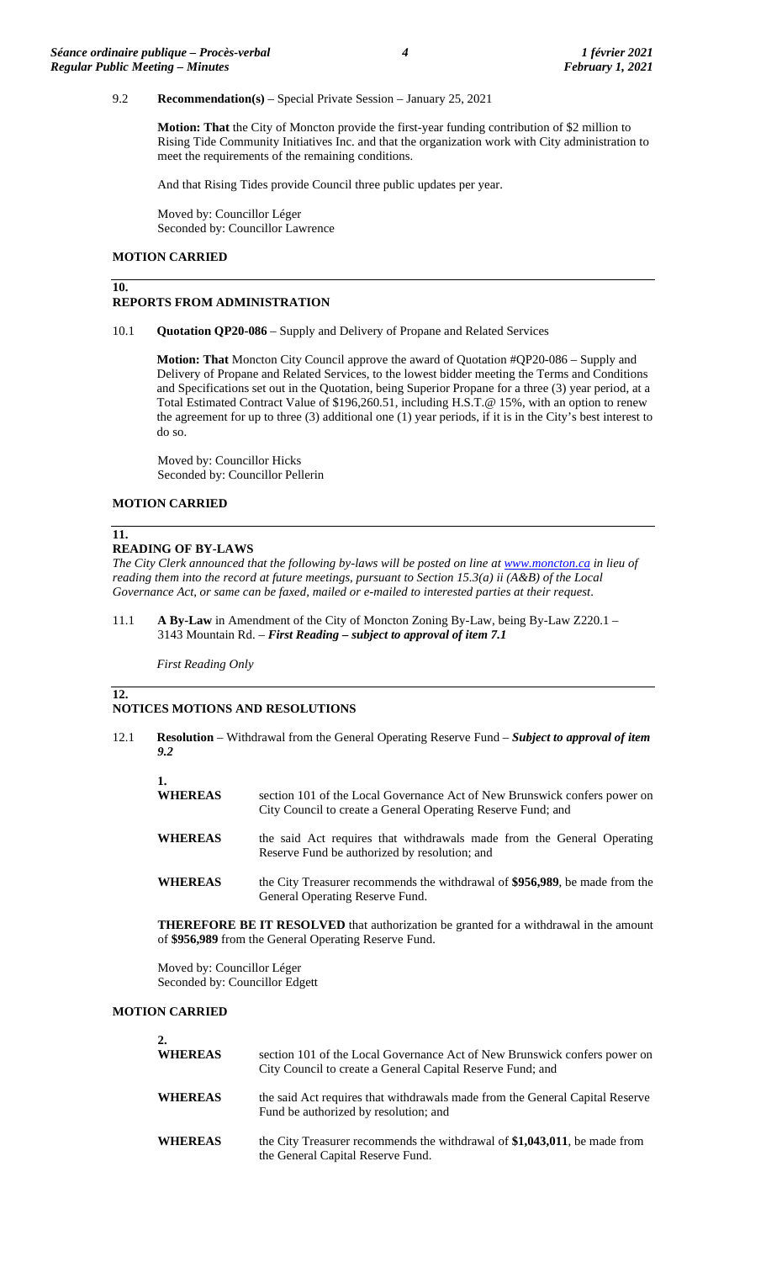### 9.2 **Recommendation(s)** – Special Private Session – January 25, 2021

**Motion: That** the City of Moncton provide the first-year funding contribution of \$2 million to Rising Tide Community Initiatives Inc. and that the organization work with City administration to meet the requirements of the remaining conditions.

And that Rising Tides provide Council three public updates per year.

Moved by: Councillor Léger Seconded by: Councillor Lawrence

### **MOTION CARRIED**

# **REPORTS FROM ADMINISTRATION**

10.1 **Quotation QP20-086** – Supply and Delivery of Propane and Related Services

**Motion: That** Moncton City Council approve the award of Quotation #QP20-086 – Supply and Delivery of Propane and Related Services, to the lowest bidder meeting the Terms and Conditions and Specifications set out in the Quotation, being Superior Propane for a three (3) year period, at a Total Estimated Contract Value of \$196,260.51, including H.S.T.@ 15%, with an option to renew the agreement for up to three (3) additional one (1) year periods, if it is in the City's best interest to do so.

Moved by: Councillor Hicks Seconded by: Councillor Pellerin

### **MOTION CARRIED**

#### **11.**

**10.**

#### **READING OF BY-LAWS**

*The City Clerk announced that the following by-laws will be posted on line a[t www.moncton.ca](http://www.moncton.ca/) in lieu of reading them into the record at future meetings, pursuant to Section 15.3(a) ii (A&B) of the Local Governance Act, or same can be faxed, mailed or e-mailed to interested parties at their request*.

11.1 **A By-Law** in Amendment of the City of Moncton Zoning By-Law, being By-Law Z220.1 – 3143 Mountain Rd. – *First Reading – subject to approval of item 7.1*

*First Reading Only*

#### **12.**

### **NOTICES MOTIONS AND RESOLUTIONS**

12.1 **Resolution** – Withdrawal from the General Operating Reserve Fund – *Subject to approval of item 9.2* 

| 1.<br><b>WHEREAS</b> | section 101 of the Local Governance Act of New Brunswick confers power on<br>City Council to create a General Operating Reserve Fund; and |
|----------------------|-------------------------------------------------------------------------------------------------------------------------------------------|
| <b>WHEREAS</b>       | the said Act requires that withdrawals made from the General Operating<br>Reserve Fund be authorized by resolution; and                   |
| <b>WHEREAS</b>       | the City Treasurer recommends the withdrawal of \$956,989, be made from the<br>General Operating Reserve Fund.                            |

**THEREFORE BE IT RESOLVED** that authorization be granted for a withdrawal in the amount of **\$956,989** from the General Operating Reserve Fund.

Moved by: Councillor Léger Seconded by: Councillor Edgett

### **MOTION CARRIED**

| 2.<br><b>WHEREAS</b> | section 101 of the Local Governance Act of New Brunswick confers power on<br>City Council to create a General Capital Reserve Fund; and |
|----------------------|-----------------------------------------------------------------------------------------------------------------------------------------|
| <b>WHEREAS</b>       | the said Act requires that withdrawals made from the General Capital Reserve<br>Fund be authorized by resolution; and                   |
| <b>WHEREAS</b>       | the City Treasurer recommends the withdrawal of \$1,043,011, be made from<br>the General Capital Reserve Fund.                          |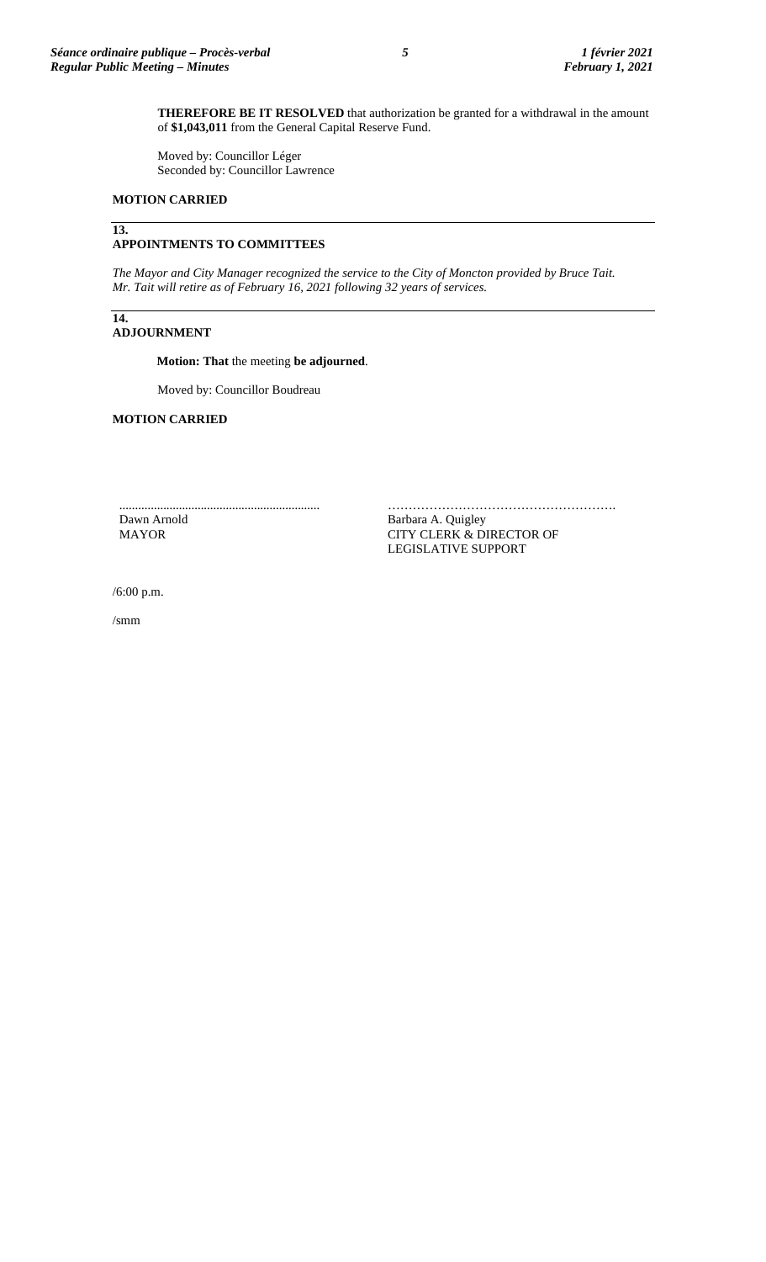**THEREFORE BE IT RESOLVED** that authorization be granted for a withdrawal in the amount of **\$1,043,011** from the General Capital Reserve Fund.

Moved by: Councillor Léger Seconded by: Councillor Lawrence

# **MOTION CARRIED**

# **13.**

# **APPOINTMENTS TO COMMITTEES**

*The Mayor and City Manager recognized the service to the City of Moncton provided by Bruce Tait. Mr. Tait will retire as of February 16, 2021 following 32 years of services.*

### **14. ADJOURNMENT**

**Motion: That** the meeting **be adjourned**.

Moved by: Councillor Boudreau

**MOTION CARRIED**

................................................................ Dawn Arnold MAYOR

………………………………………………. Barbara A. Quigley CITY CLERK & DIRECTOR OF LEGISLATIVE SUPPORT

/6:00 p.m.

/smm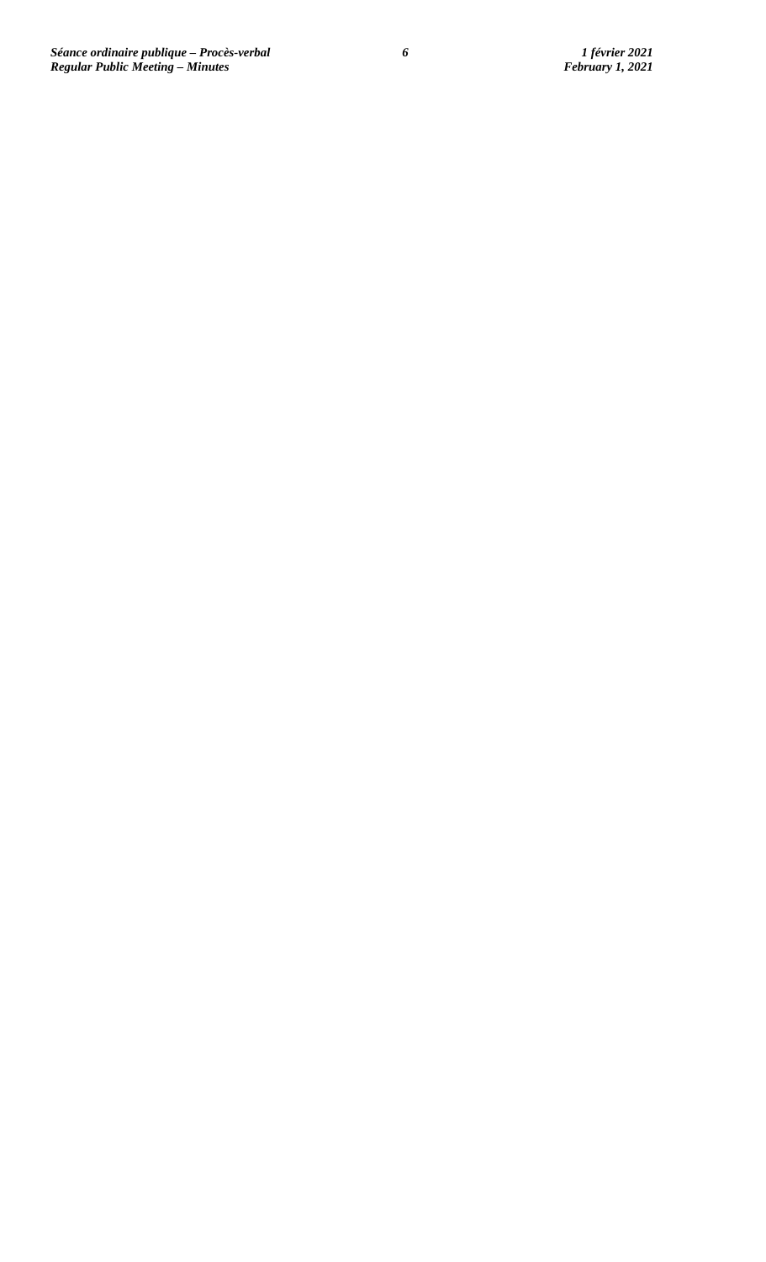*Séance ordinaire publique – Procès -verbal Regular Public Meeting – Minutes February 1, 2021*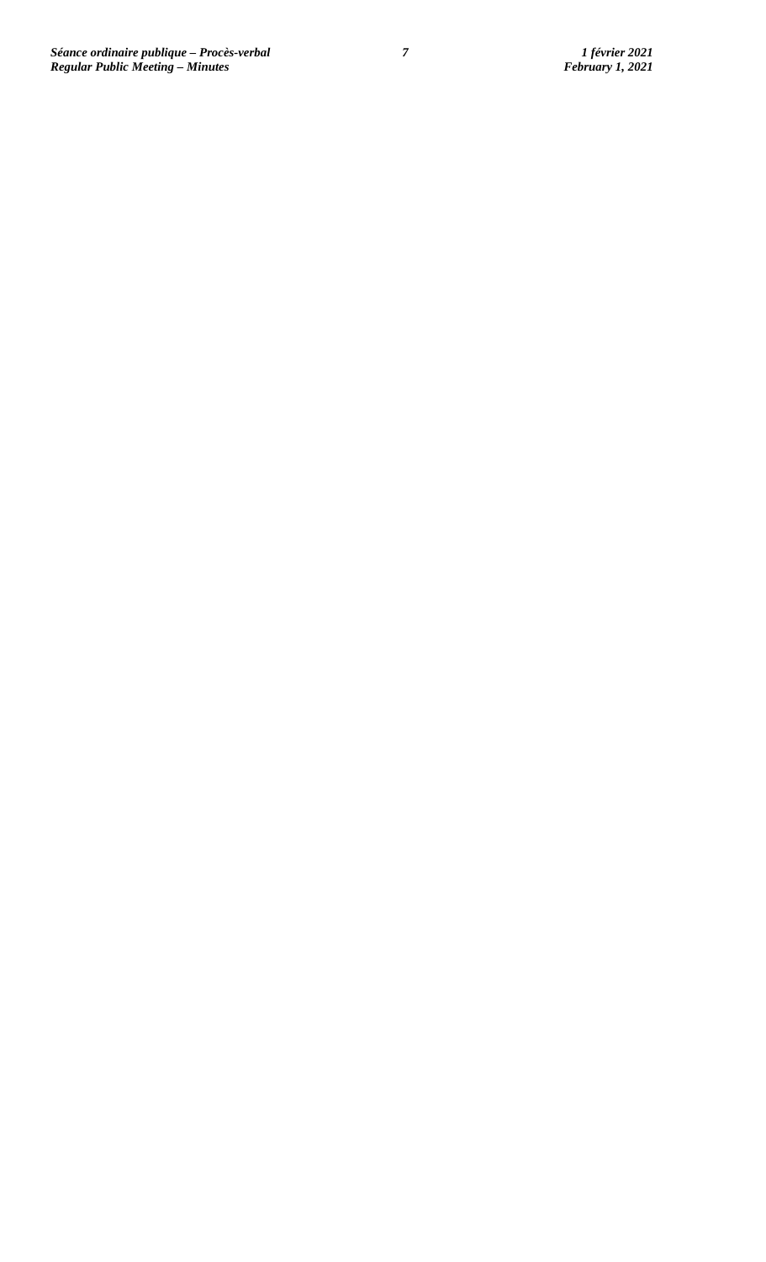*Séance ordinaire publique – Procès -verbal Regular Public Meeting – Minutes February 1, 2021*